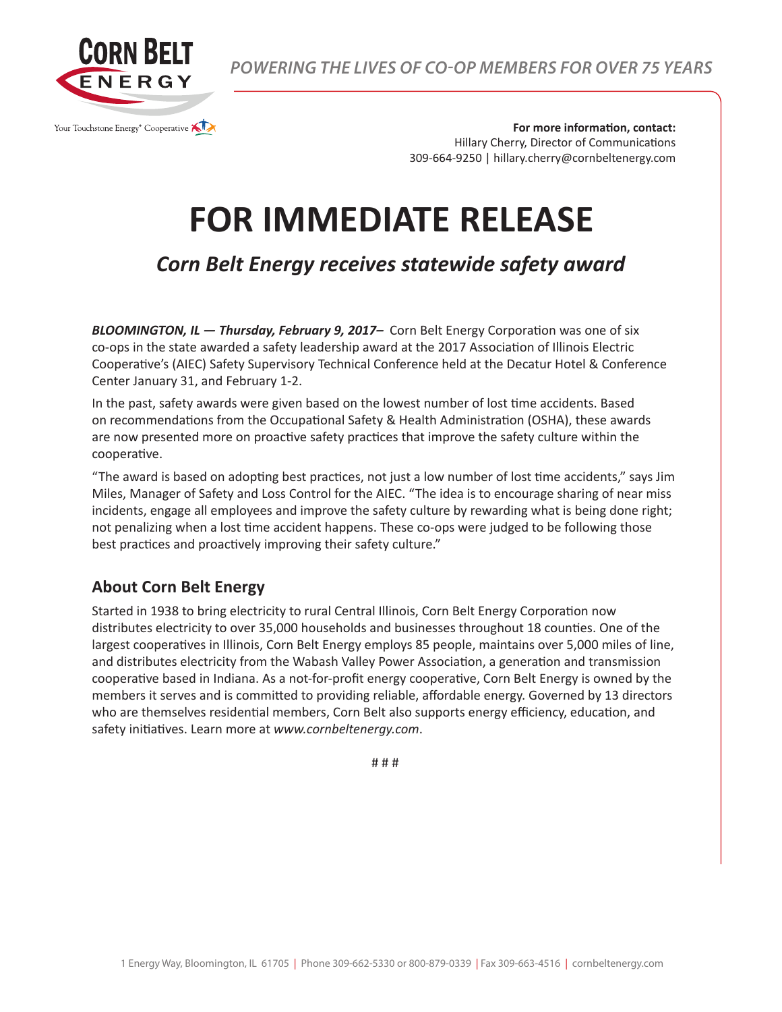

*POWERING THE LIVES OF CO-OP MEMBERS FOR OVER 75 YEARS*

**For more information, contact:** Hillary Cherry, Director of Communications 309-664-9250 | hillary.cherry@cornbeltenergy.com

## **FOR IMMEDIATE RELEASE**

## *Corn Belt Energy receives statewide safety award*

*BLOOMINGTON, IL — Thursday, February 9, 2017–* Corn Belt Energy Corporation was one of six co-ops in the state awarded a safety leadership award at the 2017 Association of Illinois Electric Cooperative's (AIEC) Safety Supervisory Technical Conference held at the Decatur Hotel & Conference Center January 31, and February 1-2.

In the past, safety awards were given based on the lowest number of lost time accidents. Based on recommendations from the Occupational Safety & Health Administration (OSHA), these awards are now presented more on proactive safety practices that improve the safety culture within the cooperative.

"The award is based on adopting best practices, not just a low number of lost time accidents," says Jim Miles, Manager of Safety and Loss Control for the AIEC. "The idea is to encourage sharing of near miss incidents, engage all employees and improve the safety culture by rewarding what is being done right; not penalizing when a lost time accident happens. These co-ops were judged to be following those best practices and proactively improving their safety culture."

## **About Corn Belt Energy**

Started in 1938 to bring electricity to rural Central Illinois, Corn Belt Energy Corporation now distributes electricity to over 35,000 households and businesses throughout 18 counties. One of the largest cooperatives in Illinois, Corn Belt Energy employs 85 people, maintains over 5,000 miles of line, and distributes electricity from the Wabash Valley Power Association, a generation and transmission cooperative based in Indiana. As a not-for-profit energy cooperative, Corn Belt Energy is owned by the members it serves and is committed to providing reliable, affordable energy. Governed by 13 directors who are themselves residential members, Corn Belt also supports energy efficiency, education, and safety initiatives. Learn more at *www.cornbeltenergy.com*.

# # #